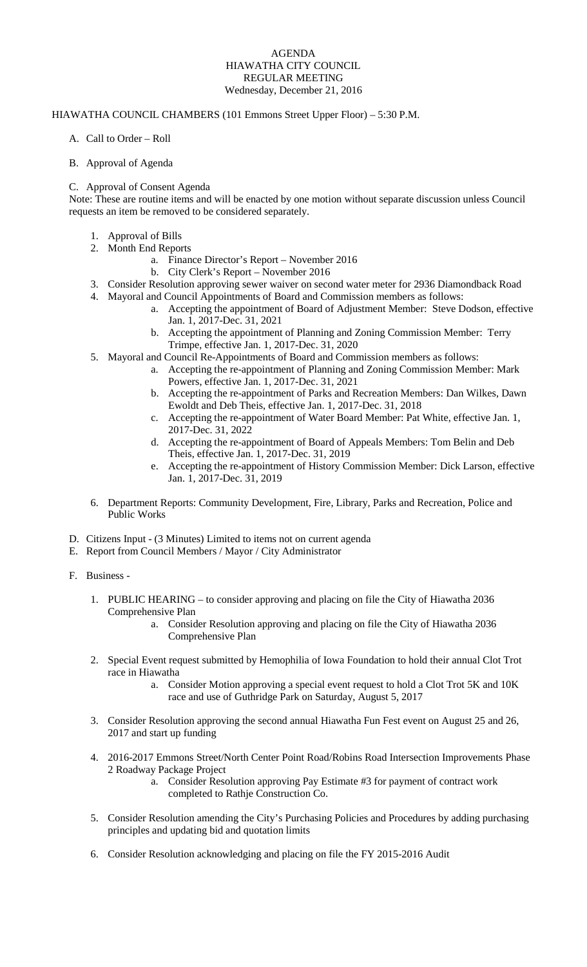#### AGENDA HIAWATHA CITY COUNCIL REGULAR MEETING Wednesday, December 21, 2016

### HIAWATHA COUNCIL CHAMBERS (101 Emmons Street Upper Floor) – 5:30 P.M.

- A. Call to Order Roll
- B. Approval of Agenda

### C. Approval of Consent Agenda

Note: These are routine items and will be enacted by one motion without separate discussion unless Council requests an item be removed to be considered separately.

- 1. Approval of Bills
- 2. Month End Reports
	- a. Finance Director's Report November 2016
		- b. City Clerk's Report November 2016
- 3. Consider Resolution approving sewer waiver on second water meter for 2936 Diamondback Road
- 4. Mayoral and Council Appointments of Board and Commission members as follows:
	- a. Accepting the appointment of Board of Adjustment Member: Steve Dodson, effective Jan. 1, 2017-Dec. 31, 2021
	- b. Accepting the appointment of Planning and Zoning Commission Member: Terry Trimpe, effective Jan. 1, 2017-Dec. 31, 2020
- 5. Mayoral and Council Re-Appointments of Board and Commission members as follows:
	- a. Accepting the re-appointment of Planning and Zoning Commission Member: Mark Powers, effective Jan. 1, 2017-Dec. 31, 2021
	- b. Accepting the re-appointment of Parks and Recreation Members: Dan Wilkes, Dawn Ewoldt and Deb Theis, effective Jan. 1, 2017-Dec. 31, 2018
	- c. Accepting the re-appointment of Water Board Member: Pat White, effective Jan. 1, 2017-Dec. 31, 2022
	- d. Accepting the re-appointment of Board of Appeals Members: Tom Belin and Deb Theis, effective Jan. 1, 2017-Dec. 31, 2019
	- e. Accepting the re-appointment of History Commission Member: Dick Larson, effective Jan. 1, 2017-Dec. 31, 2019
- 6. Department Reports: Community Development, Fire, Library, Parks and Recreation, Police and Public Works
- D. Citizens Input (3 Minutes) Limited to items not on current agenda
- E. Report from Council Members / Mayor / City Administrator
- F. Business
	- 1. PUBLIC HEARING to consider approving and placing on file the City of Hiawatha 2036 Comprehensive Plan
		- a. Consider Resolution approving and placing on file the City of Hiawatha 2036 Comprehensive Plan
	- 2. Special Event request submitted by Hemophilia of Iowa Foundation to hold their annual Clot Trot race in Hiawatha
		- a. Consider Motion approving a special event request to hold a Clot Trot 5K and 10K race and use of Guthridge Park on Saturday, August 5, 2017
	- 3. Consider Resolution approving the second annual Hiawatha Fun Fest event on August 25 and 26, 2017 and start up funding
	- 4. 2016-2017 Emmons Street/North Center Point Road/Robins Road Intersection Improvements Phase 2 Roadway Package Project
		- a. Consider Resolution approving Pay Estimate #3 for payment of contract work completed to Rathje Construction Co.
	- 5. Consider Resolution amending the City's Purchasing Policies and Procedures by adding purchasing principles and updating bid and quotation limits
	- 6. Consider Resolution acknowledging and placing on file the FY 2015-2016 Audit